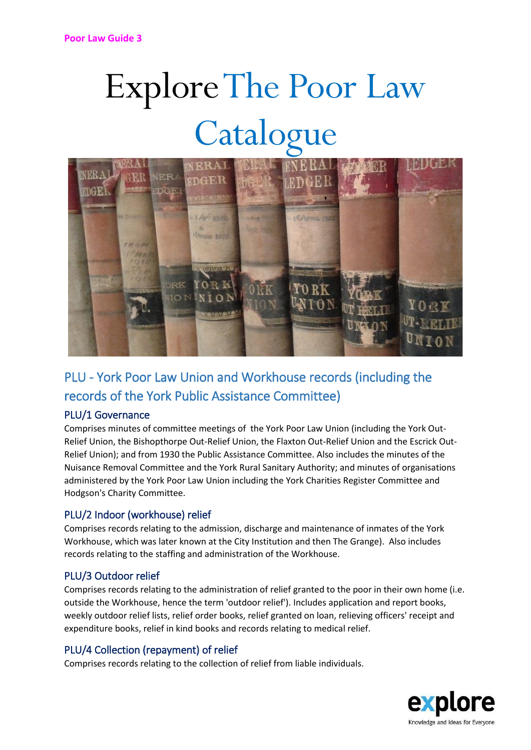# Explore The Poor Law Catalogue



# PLU - York Poor Law Union and Workhouse records (including the records of the York Public Assistance Committee)

# PLU/1 Governance

Comprises minutes of committee meetings of the York Poor Law Union (including the York Out-Relief Union, the Bishopthorpe Out-Relief Union, the Flaxton Out-Relief Union and the Escrick Out-Relief Union); and from 1930 the Public Assistance Committee. Also includes the minutes of the Nuisance Removal Committee and the York Rural Sanitary Authority; and minutes of organisations administered by the York Poor Law Union including the York Charities Register Committee and Hodgson's Charity Committee.

# PLU/2 Indoor (workhouse) relief

Comprises records relating to the admission, discharge and maintenance of inmates of the York Workhouse, which was later known at the City Institution and then The Grange). Also includes records relating to the staffing and administration of the Workhouse.

#### PLU/3 Outdoor relief

Comprises records relating to the administration of relief granted to the poor in their own home (i.e. outside the Workhouse, hence the term 'outdoor relief'). Includes application and report books, weekly outdoor relief lists, relief order books, relief granted on loan, relieving officers' receipt and expenditure books, relief in kind books and records relating to medical relief.

# PLU/4 Collection (repayment) of relief

Comprises records relating to the collection of relief from liable individuals.

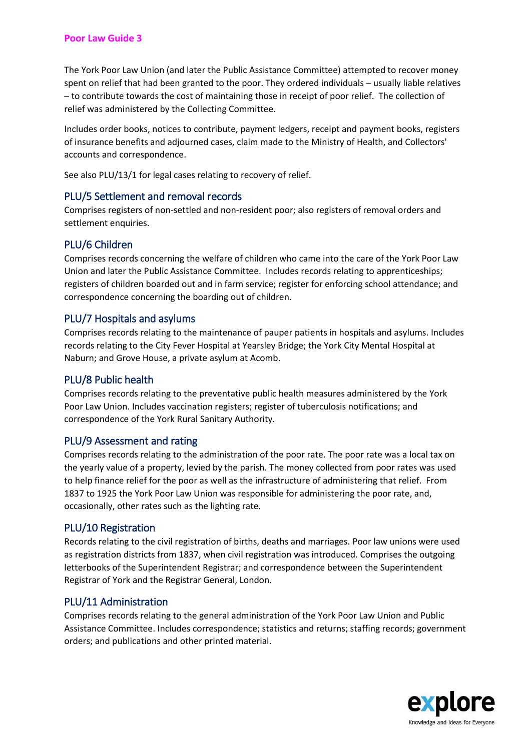#### **Poor Law Guide 3**

The York Poor Law Union (and later the Public Assistance Committee) attempted to recover money spent on relief that had been granted to the poor. They ordered individuals – usually liable relatives – to contribute towards the cost of maintaining those in receipt of poor relief. The collection of relief was administered by the Collecting Committee.

Includes order books, notices to contribute, payment ledgers, receipt and payment books, registers of insurance benefits and adjourned cases, claim made to the Ministry of Health, and Collectors' accounts and correspondence.

See also PLU/13/1 for legal cases relating to recovery of relief.

#### PLU/5 Settlement and removal records

Comprises registers of non-settled and non-resident poor; also registers of removal orders and settlement enquiries.

#### PLU/6 Children

Comprises records concerning the welfare of children who came into the care of the York Poor Law Union and later the Public Assistance Committee. Includes records relating to apprenticeships; registers of children boarded out and in farm service; register for enforcing school attendance; and correspondence concerning the boarding out of children.

#### PLU/7 Hospitals and asylums

Comprises records relating to the maintenance of pauper patients in hospitals and asylums. Includes records relating to the City Fever Hospital at Yearsley Bridge; the York City Mental Hospital at Naburn; and Grove House, a private asylum at Acomb.

#### PLU/8 Public health

Comprises records relating to the preventative public health measures administered by the York Poor Law Union. Includes vaccination registers; register of tuberculosis notifications; and correspondence of the York Rural Sanitary Authority.

#### PLU/9 Assessment and rating

Comprises records relating to the administration of the poor rate. The poor rate was a local tax on the yearly value of a property, levied by the parish. The money collected from poor rates was used to help finance relief for the poor as well as the infrastructure of administering that relief. From 1837 to 1925 the York Poor Law Union was responsible for administering the poor rate, and, occasionally, other rates such as the lighting rate.

#### PLU/10 Registration

Records relating to the civil registration of births, deaths and marriages. Poor law unions were used as registration districts from 1837, when civil registration was introduced. Comprises the outgoing letterbooks of the Superintendent Registrar; and correspondence between the Superintendent Registrar of York and the Registrar General, London.

#### PLU/11 Administration

Comprises records relating to the general administration of the York Poor Law Union and Public Assistance Committee. Includes correspondence; statistics and returns; staffing records; government orders; and publications and other printed material.